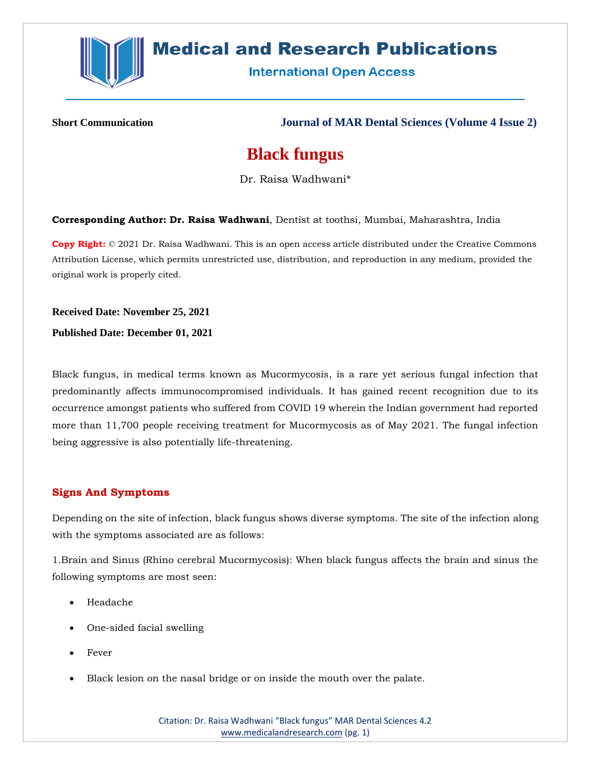

# **Medical and Research Publications**

**International Open Access** 

**Short Communication Journal of MAR Dental Sciences (Volume 4 Issue 2)**

## **Black fungus**

Dr. Raisa Wadhwani\*

**Corresponding Author: Dr. Raisa Wadhwani**, Dentist at toothsi, Mumbai, Maharashtra, India

**Copy Right:** © 2021 Dr. Raisa Wadhwani. This is an open access article distributed under the Creative Commons Attribution License, which permits unrestricted use, distribution, and reproduction in any medium, provided the original work is properly cited.

**Received Date: November 25, 2021**

**Published Date: December 01, 2021**

Black fungus, in medical terms known as Mucormycosis, is a rare yet serious fungal infection that predominantly affects immunocompromised individuals. It has gained recent recognition due to its occurrence amongst patients who suffered from COVID 19 wherein the Indian government had reported more than 11,700 people receiving treatment for Mucormycosis as of May 2021. The fungal infection being aggressive is also potentially life-threatening.

#### **Signs And Symptoms**

Depending on the site of infection, black fungus shows diverse symptoms. The site of the infection along with the symptoms associated are as follows:

1.Brain and Sinus (Rhino cerebral Mucormycosis): When black fungus affects the brain and sinus the following symptoms are most seen:

- Headache
- One-sided facial swelling
- Fever
- Black lesion on the nasal bridge or on inside the mouth over the palate.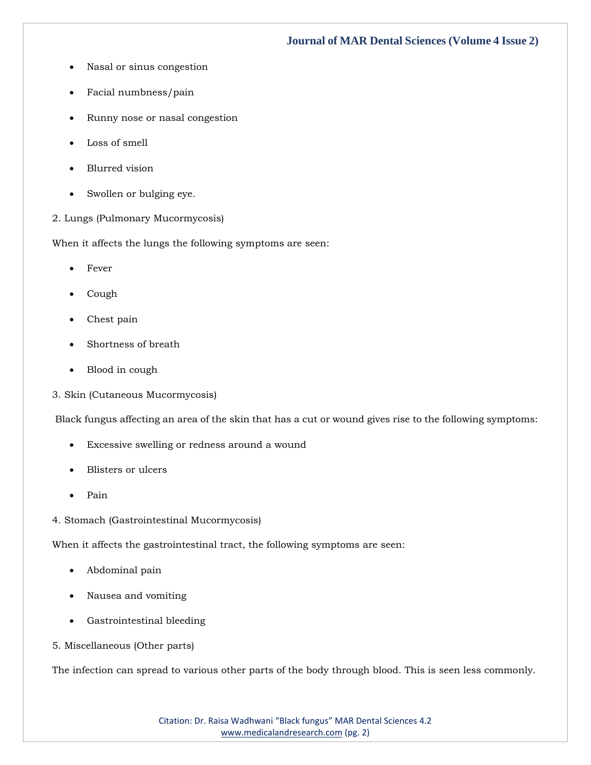### **Journal of MAR Dental Sciences (Volume 4 Issue 2)**

- Nasal or sinus congestion
- Facial numbness/pain
- Runny nose or nasal congestion
- Loss of smell
- Blurred vision
- Swollen or bulging eye.
- 2. Lungs (Pulmonary Mucormycosis)

When it affects the lungs the following symptoms are seen:

- Fever
- Cough
- Chest pain
- Shortness of breath
- Blood in cough
- 3. Skin (Cutaneous Mucormycosis)

Black fungus affecting an area of the skin that has a cut or wound gives rise to the following symptoms:

- Excessive swelling or redness around a wound
- Blisters or ulcers
- Pain
- 4. Stomach (Gastrointestinal Mucormycosis)

When it affects the gastrointestinal tract, the following symptoms are seen:

- Abdominal pain
- Nausea and vomiting
- Gastrointestinal bleeding
- 5. Miscellaneous (Other parts)

The infection can spread to various other parts of the body through blood. This is seen less commonly.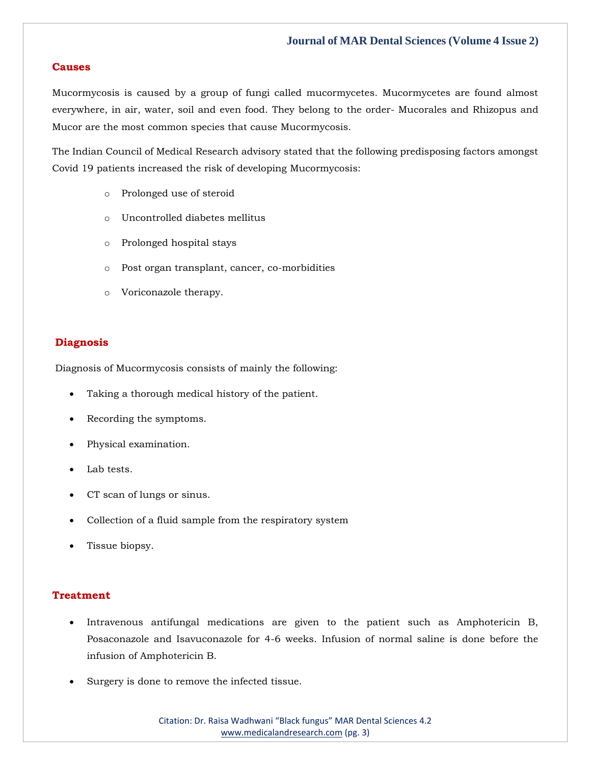#### **Causes**

Mucormycosis is caused by a group of fungi called mucormycetes. Mucormycetes are found almost everywhere, in air, water, soil and even food. They belong to the order- Mucorales and Rhizopus and Mucor are the most common species that cause Mucormycosis.

The Indian Council of Medical Research advisory stated that the following predisposing factors amongst Covid 19 patients increased the risk of developing Mucormycosis:

- o Prolonged use of steroid
- o Uncontrolled diabetes mellitus
- o Prolonged hospital stays
- o Post organ transplant, cancer, co-morbidities
- o Voriconazole therapy.

#### **Diagnosis**

Diagnosis of Mucormycosis consists of mainly the following:

- Taking a thorough medical history of the patient.
- Recording the symptoms.
- Physical examination.
- Lab tests.
- CT scan of lungs or sinus.
- Collection of a fluid sample from the respiratory system
- Tissue biopsy.

#### **Treatment**

- Intravenous antifungal medications are given to the patient such as Amphotericin B, Posaconazole and Isavuconazole for 4-6 weeks. Infusion of normal saline is done before the infusion of Amphotericin B.
- Surgery is done to remove the infected tissue.